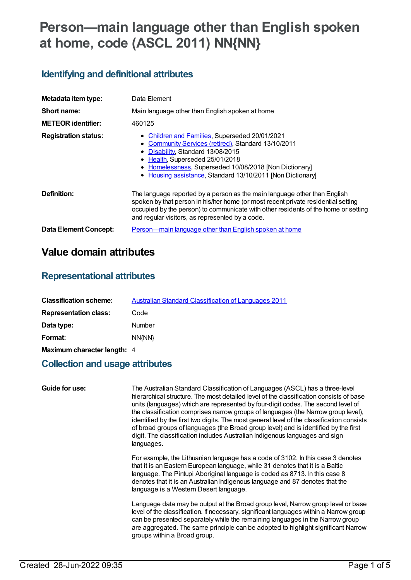# **Person—main language other than English spoken at home, code (ASCL 2011) NN{NN}**

## **Identifying and definitional attributes**

| Metadata item type:          | Data Element                                                                                                                                                                                                                                                                                            |
|------------------------------|---------------------------------------------------------------------------------------------------------------------------------------------------------------------------------------------------------------------------------------------------------------------------------------------------------|
| Short name:                  | Main language other than English spoken at home                                                                                                                                                                                                                                                         |
| <b>METEOR identifier:</b>    | 460125                                                                                                                                                                                                                                                                                                  |
| <b>Registration status:</b>  | • Children and Families, Superseded 20/01/2021<br>• Community Services (retired), Standard 13/10/2011<br>• Disability, Standard 13/08/2015<br>• Health, Superseded 25/01/2018<br>• Homelessness, Superseded 10/08/2018 [Non Dictionary]<br>• Housing assistance, Standard 13/10/2011 [Non Dictionary]   |
| Definition:                  | The language reported by a person as the main language other than English<br>spoken by that person in his/her home (or most recent private residential setting<br>occupied by the person) to communicate with other residents of the home or setting<br>and regular visitors, as represented by a code. |
| <b>Data Element Concept:</b> | Person—main language other than English spoken at home                                                                                                                                                                                                                                                  |

# **Value domain attributes**

### **Representational attributes**

| <b>Classification scheme:</b> | Australian Standard Classification of Languages 2011 |
|-------------------------------|------------------------------------------------------|
| <b>Representation class:</b>  | Code                                                 |
| Data type:                    | Number                                               |
| Format:                       | NN(NN)                                               |
| Maximum character length: 4   |                                                      |

### **Collection and usage attributes**

| Guide for use: | The Australian Standard Classification of Languages (ASCL) has a three-level<br>hierarchical structure. The most detailed level of the classification consists of base<br>units (languages) which are represented by four-digit codes. The second level of<br>the classification comprises narrow groups of languages (the Narrow group level),<br>identified by the first two digits. The most general level of the classification consists<br>of broad groups of languages (the Broad group level) and is identified by the first<br>digit. The classification includes Australian Indigenous languages and sign<br>languages. |
|----------------|----------------------------------------------------------------------------------------------------------------------------------------------------------------------------------------------------------------------------------------------------------------------------------------------------------------------------------------------------------------------------------------------------------------------------------------------------------------------------------------------------------------------------------------------------------------------------------------------------------------------------------|
|                | For example, the Lithuanian language has a code of 3102. In this case 3 denotes<br>that it is an Eastern European language, while 31 denotes that it is a Baltic<br>language. The Pintupi Aboriginal language is coded as 8713. In this case 8<br>denotes that it is an Australian Indigenous language and 87 denotes that the<br>language is a Western Desert language.                                                                                                                                                                                                                                                         |
|                | Language data may be output at the Broad group level, Narrow group level or base<br>level of the classification. If necessary, significant languages within a Narrow group<br>can be presented separately while the remaining languages in the Narrow group<br>are aggregated. The same principle can be adopted to highlight significant Narrow<br>groups within a Broad group.                                                                                                                                                                                                                                                 |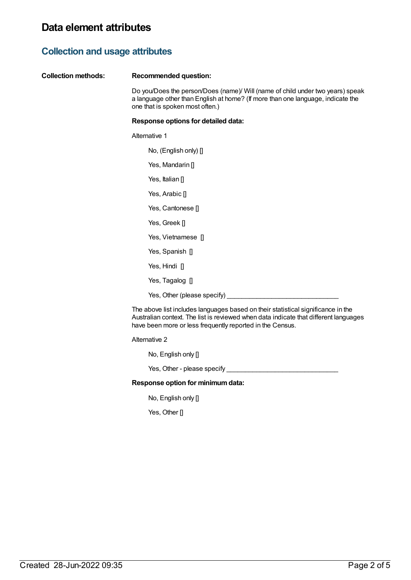# **Collection and usage attributes**

| Do you/Does the person/Does (name)/ Will (name of child under two years) speak<br>a language other than English at home? (If more than one language, indicate the<br>one that is spoken most often.) |
|------------------------------------------------------------------------------------------------------------------------------------------------------------------------------------------------------|
| Response options for detailed data:                                                                                                                                                                  |
| Alternative 1                                                                                                                                                                                        |
| No, (English only) [                                                                                                                                                                                 |
| Yes, Mandarin []                                                                                                                                                                                     |
| Yes, Italian []                                                                                                                                                                                      |
| Yes, Arabic []                                                                                                                                                                                       |
| Yes, Cantonese []                                                                                                                                                                                    |
| Yes, Greek []                                                                                                                                                                                        |
| Yes, Vietnamese []                                                                                                                                                                                   |
| Yes, Spanish []                                                                                                                                                                                      |
| Yes, Hindi []                                                                                                                                                                                        |
| Yes, Tagalog []                                                                                                                                                                                      |
| Yes, Other (please specify)                                                                                                                                                                          |
|                                                                                                                                                                                                      |

have been more or less frequently reported in the Census.

Alternative 2

No, English only []

Yes, Other - please specify \_\_\_\_\_\_\_\_\_\_\_\_\_\_\_\_\_\_\_\_\_\_\_\_\_\_\_\_\_\_

#### **Response option for minimumdata:**

No, English only []

Yes, Other []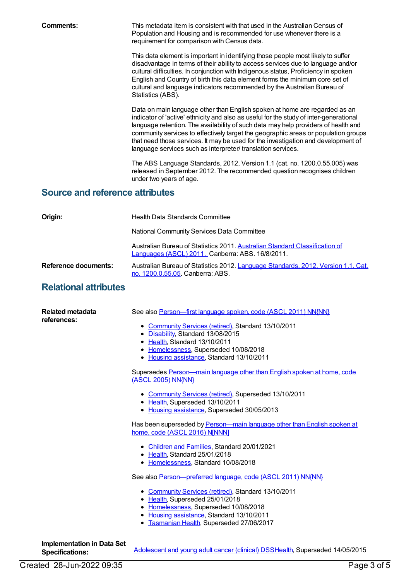**Comments:** This metadata item is consistent with that used in the Australian Census of Population and Housing and is recommended for use whenever there is a requirement for comparison with Census data.

> This data element is important in identifying those people most likely to suffer disadvantage in terms of their ability to access services due to language and/or cultural difficulties. In conjunction with Indigenous status, Proficiency in spoken English and Country of birth this data element forms the minimum core set of cultural and language indicators recommended by the Australian Bureau of Statistics (ABS).

Data on main language other than English spoken at home are regarded as an indicator of 'active' ethnicity and also as useful for the study of inter-generational language retention. The availability of such data may help providers of health and community services to effectively target the geographic areas or population groups that need those services. It may be used for the investigation and development of language services such as interpreter/ translation services.

The ABS Language Standards, 2012, Version 1.1 (cat. no. 1200.0.55.005) was released in September 2012. The recommended question recognises children under two years of age.

### **Source and reference attributes**

| Origin:                         | <b>Health Data Standards Committee</b>                                                                                                                                                                                                                                                                                                                                                                                                                                                                                                                                                                                                                                                                                                                                                                                                                                                                                                                                                                                                                         |
|---------------------------------|----------------------------------------------------------------------------------------------------------------------------------------------------------------------------------------------------------------------------------------------------------------------------------------------------------------------------------------------------------------------------------------------------------------------------------------------------------------------------------------------------------------------------------------------------------------------------------------------------------------------------------------------------------------------------------------------------------------------------------------------------------------------------------------------------------------------------------------------------------------------------------------------------------------------------------------------------------------------------------------------------------------------------------------------------------------|
|                                 | National Community Services Data Committee                                                                                                                                                                                                                                                                                                                                                                                                                                                                                                                                                                                                                                                                                                                                                                                                                                                                                                                                                                                                                     |
|                                 | Australian Bureau of Statistics 2011. Australian Standard Classification of<br>Languages (ASCL) 2011. Canberra: ABS. 16/8/2011.                                                                                                                                                                                                                                                                                                                                                                                                                                                                                                                                                                                                                                                                                                                                                                                                                                                                                                                                |
| Reference documents:            | Australian Bureau of Statistics 2012. Language Standards, 2012, Version 1.1. Cat.<br>no. 1200.0.55.05. Canberra: ABS.                                                                                                                                                                                                                                                                                                                                                                                                                                                                                                                                                                                                                                                                                                                                                                                                                                                                                                                                          |
| <b>Relational attributes</b>    |                                                                                                                                                                                                                                                                                                                                                                                                                                                                                                                                                                                                                                                                                                                                                                                                                                                                                                                                                                                                                                                                |
| Related metadata<br>references: | See also Person-first language spoken, code (ASCL 2011) NN{NN}<br>• Community Services (retired), Standard 13/10/2011<br>• Disability, Standard 13/08/2015<br>• Health, Standard 13/10/2011<br>• Homelessness, Superseded 10/08/2018<br>• Housing assistance, Standard 13/10/2011<br>Supersedes Person-main language other than English spoken at home, code<br>(ASCL 2005) NN{NN}<br>• Community Services (retired), Superseded 13/10/2011<br>• Health, Superseded 13/10/2011<br>• Housing assistance, Superseded 30/05/2013<br>Has been superseded by Person-main language other than English spoken at<br>home, code (ASCL 2016) NJNNN]<br>• Children and Families, Standard 20/01/2021<br>• Health, Standard 25/01/2018<br>• Homelessness, Standard 10/08/2018<br>See also Person-preferred language, code (ASCL 2011) NN{NN}<br>• Community Services (retired), Standard 13/10/2011<br>• Health, Superseded 25/01/2018<br>• Homelessness, Superseded 10/08/2018<br>• Housing assistance, Standard 13/10/2011<br>· Tasmanian Health, Superseded 27/06/2017 |
| Implementation in Data Set      |                                                                                                                                                                                                                                                                                                                                                                                                                                                                                                                                                                                                                                                                                                                                                                                                                                                                                                                                                                                                                                                                |

Created 28-Jun-2022 09:35 Page 3 of 5

**Specifications:** [Adolescent](https://meteor.aihw.gov.au/content/432097) and young adult cancer (clinical) DSS[Health](https://meteor.aihw.gov.au/RegistrationAuthority/12), Superseded 14/05/2015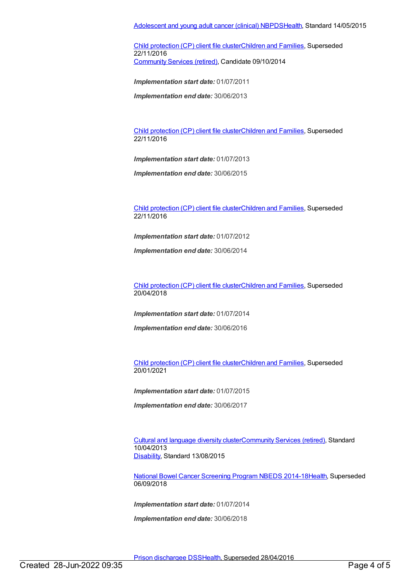Child [protection](https://meteor.aihw.gov.au/content/492589) (CP) client file clusterChildren and [Families](https://meteor.aihw.gov.au/RegistrationAuthority/17), Superseded 22/11/2016 [Community](https://meteor.aihw.gov.au/RegistrationAuthority/1) Services (retired), Candidate 09/10/2014

*Implementation start date:* 01/07/2011

*Implementation end date:* 30/06/2013

Child [protection](https://meteor.aihw.gov.au/content/656475) (CP) client file clusterChildren and [Families](https://meteor.aihw.gov.au/RegistrationAuthority/17), Superseded 22/11/2016

*Implementation start date:* 01/07/2013

*Implementation end date:* 30/06/2015

Child [protection](https://meteor.aihw.gov.au/content/655203) (CP) client file clusterChildren and [Families](https://meteor.aihw.gov.au/RegistrationAuthority/17), Superseded 22/11/2016

*Implementation start date:* 01/07/2012

*Implementation end date:* 30/06/2014

Child [protection](https://meteor.aihw.gov.au/content/656496) (CP) client file clusterChildren and [Families](https://meteor.aihw.gov.au/RegistrationAuthority/17), Superseded 20/04/2018

*Implementation start date:* 01/07/2014

*Implementation end date:* 30/06/2016

Child [protection](https://meteor.aihw.gov.au/content/688429) (CP) client file clusterChildren and [Families](https://meteor.aihw.gov.au/RegistrationAuthority/17), Superseded 20/01/2021

*Implementation start date:* 01/07/2015

*Implementation end date:* 30/06/2017

Cultural and [language](https://meteor.aihw.gov.au/content/491352) diversity cluste[rCommunity](https://meteor.aihw.gov.au/RegistrationAuthority/1) Services (retired), Standard 10/04/2013 [Disability](https://meteor.aihw.gov.au/RegistrationAuthority/16), Standard 13/08/2015

National Bowel Cancer [Screening](https://meteor.aihw.gov.au/content/529201) Program NBEDS 2014-1[8Health](https://meteor.aihw.gov.au/RegistrationAuthority/12), Superseded 06/09/2018

*Implementation start date:* 01/07/2014

*Implementation end date:* 30/06/2018

Prison [dischargee](https://meteor.aihw.gov.au/content/482303) DS[SHealth](https://meteor.aihw.gov.au/RegistrationAuthority/12), Superseded 28/04/2016